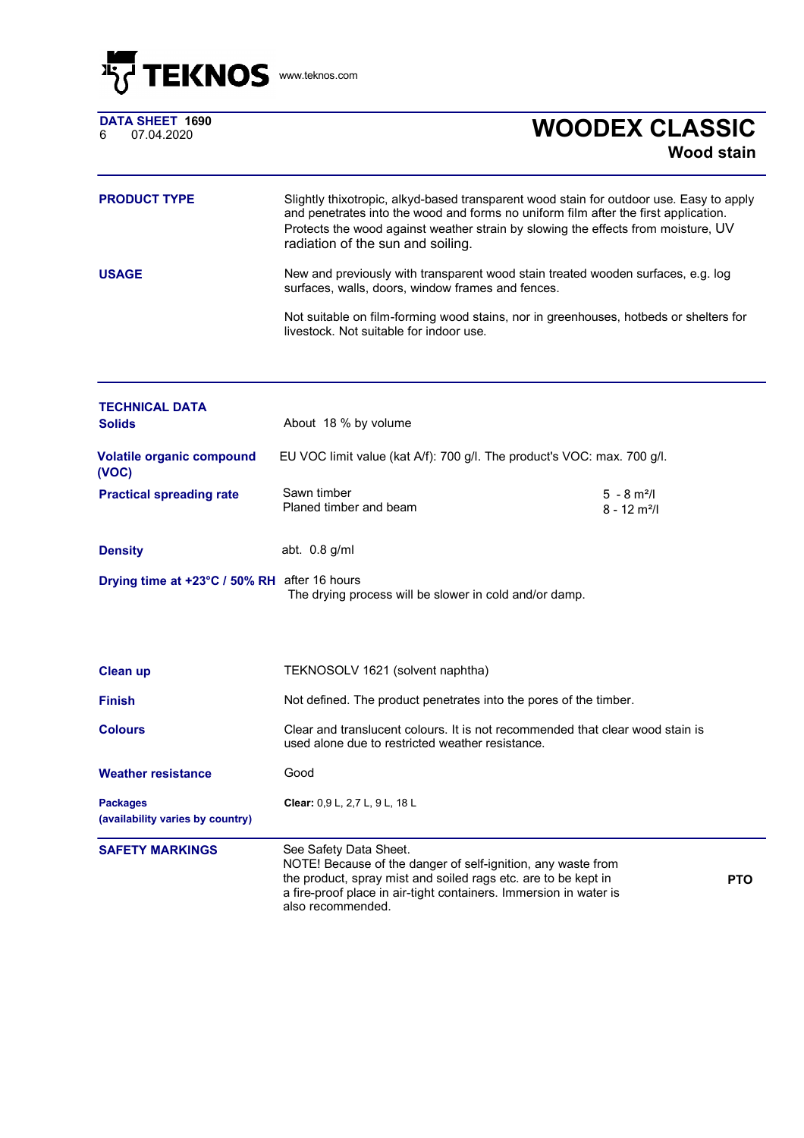

|   | DATA SHEET  1690 |  |
|---|------------------|--|
| 6 | 07.04.2020       |  |

## <sup>6</sup> 07.04.2020 **WOODEX CLASSIC Wood stain**

| <b>PRODUCT TYPE</b> | Slightly thixotropic, alkyd-based transparent wood stain for outdoor use. Easy to apply<br>and penetrates into the wood and forms no uniform film after the first application.<br>Protects the wood against weather strain by slowing the effects from moisture, UV<br>radiation of the sun and soiling. |
|---------------------|----------------------------------------------------------------------------------------------------------------------------------------------------------------------------------------------------------------------------------------------------------------------------------------------------------|
| <b>USAGE</b>        | New and previously with transparent wood stain treated wooden surfaces, e.g. log<br>surfaces, walls, doors, window frames and fences.                                                                                                                                                                    |
|                     | Not suitable on film-forming wood stains, nor in greenhouses, hotbeds or shelters for<br>livestock. Not suitable for indoor use.                                                                                                                                                                         |

| <b>TECHNICAL DATA</b><br><b>Solids</b>              | About 18 % by volume                                                                                                                                                                                                                               |                                                         |            |
|-----------------------------------------------------|----------------------------------------------------------------------------------------------------------------------------------------------------------------------------------------------------------------------------------------------------|---------------------------------------------------------|------------|
| <b>Volatile organic compound</b><br>(VOC)           | EU VOC limit value (kat A/f): 700 g/l. The product's VOC: max. 700 g/l.                                                                                                                                                                            |                                                         |            |
| <b>Practical spreading rate</b>                     | Sawn timber<br>Planed timber and beam                                                                                                                                                                                                              | $5 - 8$ m <sup>2</sup> /l<br>$8 - 12$ m <sup>2</sup> /l |            |
| <b>Density</b>                                      | abt. $0.8$ g/ml                                                                                                                                                                                                                                    |                                                         |            |
| Drying time at +23°C / 50% RH after 16 hours        | The drying process will be slower in cold and/or damp.                                                                                                                                                                                             |                                                         |            |
|                                                     |                                                                                                                                                                                                                                                    |                                                         |            |
| <b>Clean up</b>                                     | TEKNOSOLV 1621 (solvent naphtha)                                                                                                                                                                                                                   |                                                         |            |
| <b>Finish</b>                                       | Not defined. The product penetrates into the pores of the timber.                                                                                                                                                                                  |                                                         |            |
| <b>Colours</b>                                      | Clear and translucent colours. It is not recommended that clear wood stain is<br>used alone due to restricted weather resistance.                                                                                                                  |                                                         |            |
| <b>Weather resistance</b>                           | Good                                                                                                                                                                                                                                               |                                                         |            |
| <b>Packages</b><br>(availability varies by country) | Clear: 0,9 L, 2,7 L, 9 L, 18 L                                                                                                                                                                                                                     |                                                         |            |
| <b>SAFETY MARKINGS</b>                              | See Safety Data Sheet.<br>NOTE! Because of the danger of self-ignition, any waste from<br>the product, spray mist and soiled rags etc. are to be kept in<br>a fire-proof place in air-tight containers. Immersion in water is<br>also recommended. |                                                         | <b>PTO</b> |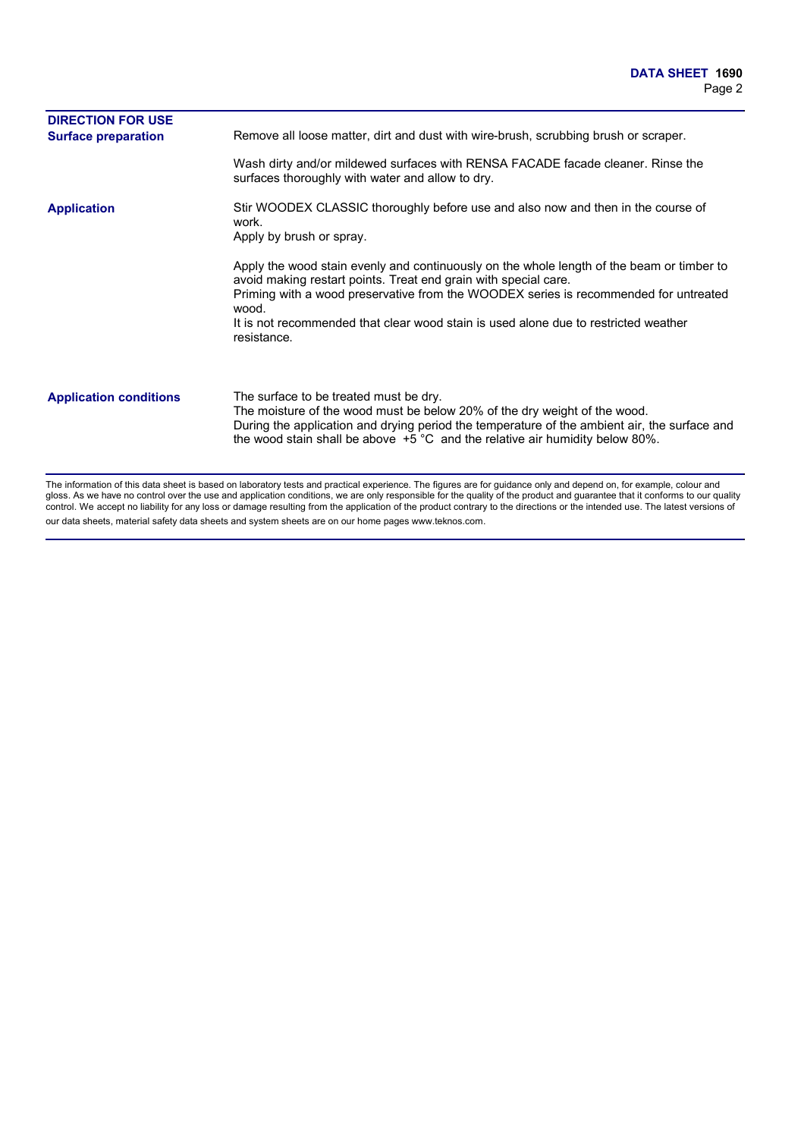| <b>DIRECTION FOR USE</b><br><b>Surface preparation</b> | Remove all loose matter, dirt and dust with wire-brush, scrubbing brush or scraper.                                                                                                                                                                                                                                                                                 |
|--------------------------------------------------------|---------------------------------------------------------------------------------------------------------------------------------------------------------------------------------------------------------------------------------------------------------------------------------------------------------------------------------------------------------------------|
|                                                        | Wash dirty and/or mildewed surfaces with RENSA FACADE facade cleaner. Rinse the<br>surfaces thoroughly with water and allow to dry.                                                                                                                                                                                                                                 |
| <b>Application</b>                                     | Stir WOODEX CLASSIC thoroughly before use and also now and then in the course of<br>work.<br>Apply by brush or spray.                                                                                                                                                                                                                                               |
|                                                        | Apply the wood stain evenly and continuously on the whole length of the beam or timber to<br>avoid making restart points. Treat end grain with special care.<br>Priming with a wood preservative from the WOODEX series is recommended for untreated<br>wood.<br>It is not recommended that clear wood stain is used alone due to restricted weather<br>resistance. |
| <b>Application conditions</b>                          | The surface to be treated must be dry.<br>The moisture of the wood must be below 20% of the dry weight of the wood.<br>During the application and drying period the temperature of the ambient air, the surface and<br>the wood stain shall be above $+5$ °C and the relative air humidity below 80%.                                                               |

The information of this data sheet is based on laboratory tests and practical experience. The figures are for guidance only and depend on, for example, colour and gloss. As we have no control over the use and application conditions, we are only responsible for the quality of the product and guarantee that it conforms to our quality control. We accept no liability for any loss or damage resulting from the application of the product contrary to the directions or the intended use. The latest versions of our data sheets, material safety data sheets and system sheets are on our home pages www.teknos.com.